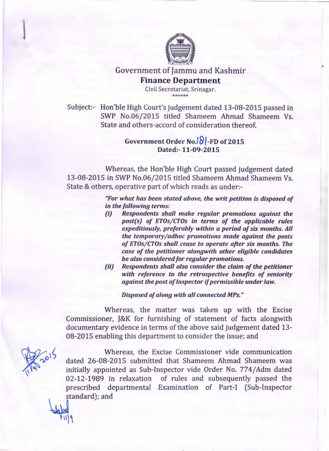

Government of Jammu and Kashmir Finance Department

> Civil Secretariat, Srinagar. \*\*\*\*\*\*\*\*\*\*

Subject:- Hon'ble High Court's judgement dated 13-08-2015 passed in SWP No.06/2015 titled Shameem Ahmad Shameem Vs. State and others-accord of consideration thereof.

## Government Order No. $\sqrt{8}$ -FD of 2015 Dated:- 11-09-2015

Whereas, the Hon'ble High Court passed judgement dated 13-08-2015 in SWP No.06/2015 titled Shameem Ahmad Shameem Vs. State & others, operative part of which reads as under:-

> *"For what has been stated above, the writ petition is disposed of in the following terms:*

- *(i) Respondents shall make regular promotions against the post(s) of ETOs/CTOs in terms of the applicable rules expeditiously, preferably within a period of six months. All the temporary/adhoc promotions made against the posts of ETOs/CTOs shall cease to operate after six months. The case of the petitioner alongwith other eligible candidates be also considered for regular promotions.*
- *(ii) Respondents shall also consider the claim of the petitioner with reference to the retrospective benefits of seniority against the post of Inspector if permissible under law.*

*Disposed of along with all connected MPs."* 

Whereas, the matter was taken up with the Excise Commissioner, J&K for furnishing of statement of facts alongwith documentary evidence in terms of the above said judgement dated 13- 08-2015 enabling this department to consider the issue; and

~'

Whereas, the Excise Commissioner vide communication dated 26-08-2015 submitted that Shameem Ahmad Shameem was initially appointed as Sub-Inspector vide Order No. 774/Adm dated 02-12-1989 in relaxation of rules and subsequently passed the prescribed departmental Examination of Part-I (Sub-Inspector standard); and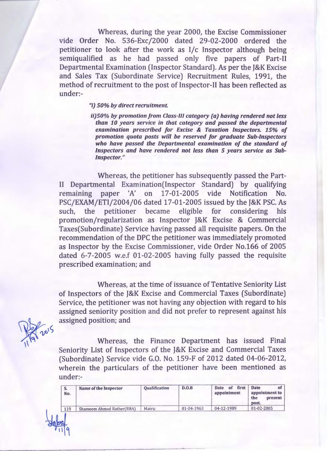Whereas, during the year 2000, the Excise Commissioner vide Order No. 536-Exc/2000 dated 29-02-2000 ordered the petitioner to look after the work as I/c Inspector although being semiqualified as he had passed only five papers of Part-II Departmental Examination (Inspector Standard). As per the J&K Excise and Sales Tax (Subordinate Service) Recruitment Rules, 1991, the method of recruitment to the post of Inspector-II has been reflected as under:-

## *"i) 50% by direct recruitment.*

*ii)50% by promotion from Class-III category (a) having rendered not less than 10 years service in that category and passed the departmental examination prescribed for Excise* & *Taxation Inspectors. 15% of promotion quota posts will be reserved for graduate Sub-Inspectors who have passed the Departmental examination of the standard of Inspectors and have rendered not less than 5 years service as Sub-Inspector."* ·

Whereas, the petitioner has subsequently passed the Part-11 Departmental Examination(Inspector Standard) by qualifying remaining paper 'A' on 17-01-2005 vide Notification No. PSC/EXAM/ETI/2004/06 dated 17-01-2005 issued by the J&K PSC. As such, the petitioner became eligible for considering his promotion/regularization as Inspector J&K Excise & Commercial Taxes(Subordinate) Service having passed all requisite papers. On the recommendation of the DPC the petitioner was immediately promoted as Inspector by the Excise Commissioner, vide Order No.166 of 2005 dated 6-7-2005 w.e.f 01-02-2005 having fully passed the requisite prescribed examination; and

Whereas, at the time of issuance of Tentative Seniority List of Inspectors of the J&K Excise and Commercial Taxes (Subordinate) Service, the petitioner was not having any objection with regard to his assigned seniority position and did not prefer to represent against his assigned position; and

 $\sqrt{9}$   $20^{15}$ 

Whereas, the Finance Department has issued Final Seniority List of Inspectors of the J&K Excise and Commercial Taxes (Subordinate) Service vide G.O. No. 159-F of 2012 dated 04-06-2012, wherein the particulars of the petitioner have been mentioned as under:-

| S.<br>No. | Name of the Inspector     | <b>Qualification</b> | D.O.B      | first<br><b>Date</b><br>of<br>appointment | Date<br>ΩI<br>appointment to<br>the<br>present<br>post. |
|-----------|---------------------------|----------------------|------------|-------------------------------------------|---------------------------------------------------------|
| 119       | Shameem Ahmad Rather(RBA) | Matric               | 01-04-1963 | 04-12-1989                                | 01-02-2005                                              |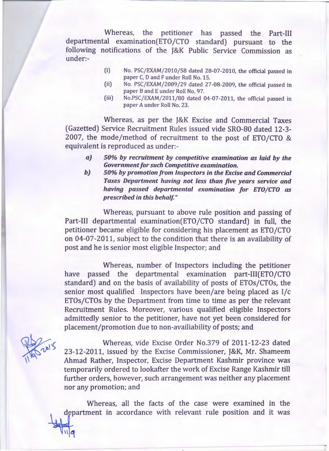Whereas, the petitioner has passed the Part-III departmental examination(ETO/CTO standard) pursuant to the following notifications of the J&K Public Service Commission as under:-

- (i) No. PSC/EXAM/2010/58 dated 28-07-2010, the official passed in paper C, D and F under Roll No. 15.
- (ii) No. PSC/EXAM/2009/29 dated 27-08-2009, the official passed in paper Band E under Roll No. 97.
- (iii) No.PSC/EXAM/2011/80 dated 04-07-2011, the official passed in paper A under Roll No. 23.

Whereas, as per the J&K Excise and Commercial Taxes (Gazetted) Service Recruitment Rules issued vide SR0-80 dated 12-3- 2007, the mode/method of recruitment to the post of ETO/CTO & equivalent is reproduced as under:-

- *aJ 50% by recruitment by competitive examination as laid by the Government for such Competitive examination.*
- *b) 50% by promotion from Inspectors in the Excise and Commercial Taxes Department having not less than five years service and having passed departmental examination for ETO/CTO as prescribed in this behalf"*

Whereas, pursuant to above rule position and passing of Part-III departmental examination(ETO/CTO standard) in full, the petitioner became eligible for considering his placement as ETO /CTO on 04-07-2011, subject to the condition that there is an availability of post and he is senior most eligible Inspector; and

Whereas, number of Inspectors including the petitioner have passed the departmental examination part-III(ETO/CTO standard) and on the basis of availability of posts of ETOs/CTOs, the senior most qualified Inspectors have been/are being placed as 1/c ETOs/CTOs by the Department from time to time as per the relevant Recruitment Rules. Moreover, various qualified eligible Inspectors admittedly senior to the petitioner, have not yet been considered for placement/promotion due to non-availiability of posts; and

 $rac{1}{\sqrt{10}}$ 

Whereas, vide Excise Order No.379 of 2011-12-23 dated 23-12-2011, issued by the Excise Commissioner, J&K, Mr. Shameem Ahmad Rather, Inspector, Excise Department Kashmir province was temporarily ordered to lookafter the work of Excise Range Kashmir till further orders, however, such arrangement was neither any placement nor any promotion; and

Whereas, all the facts of the case were examined in the department in accordance with relevant rule position and it was